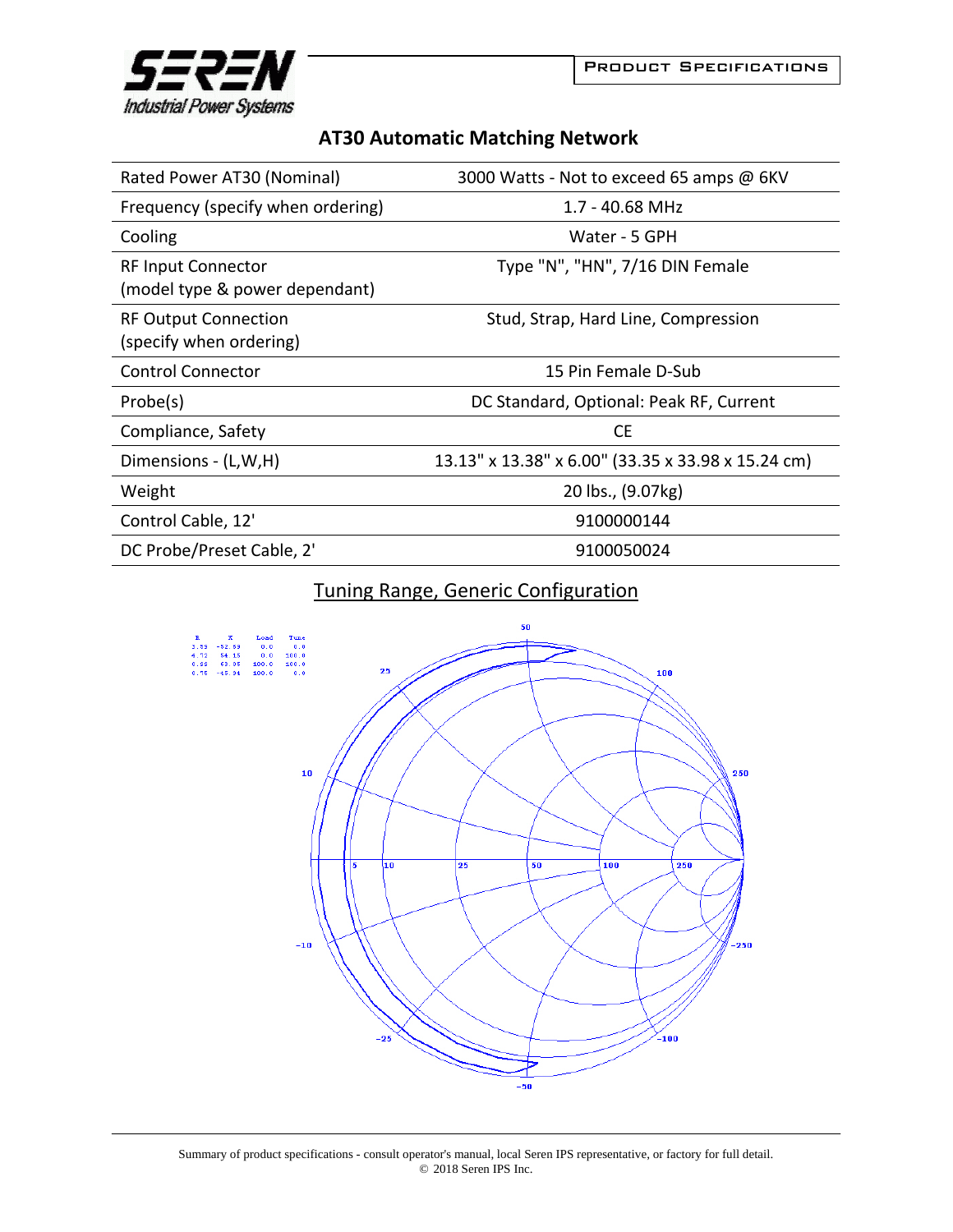

| <b>AT30 Automatic Matching Network</b> |  |  |
|----------------------------------------|--|--|
|----------------------------------------|--|--|

| Rated Power AT30 (Nominal)                                  | 3000 Watts - Not to exceed 65 amps @ 6KV           |
|-------------------------------------------------------------|----------------------------------------------------|
| Frequency (specify when ordering)                           | $1.7 - 40.68$ MHz                                  |
| Cooling                                                     | Water - 5 GPH                                      |
| <b>RF Input Connector</b><br>(model type & power dependant) | Type "N", "HN", 7/16 DIN Female                    |
| <b>RF Output Connection</b><br>(specify when ordering)      | Stud, Strap, Hard Line, Compression                |
| <b>Control Connector</b>                                    | 15 Pin Female D-Sub                                |
| Probe(s)                                                    | DC Standard, Optional: Peak RF, Current            |
| Compliance, Safety                                          | <b>CE</b>                                          |
| Dimensions - (L,W,H)                                        | 13.13" x 13.38" x 6.00" (33.35 x 33.98 x 15.24 cm) |
| Weight                                                      | 20 lbs., (9.07kg)                                  |
| Control Cable, 12'                                          | 9100000144                                         |
| DC Probe/Preset Cable, 2'                                   | 9100050024                                         |

## Tuning Range, Generic Configuration